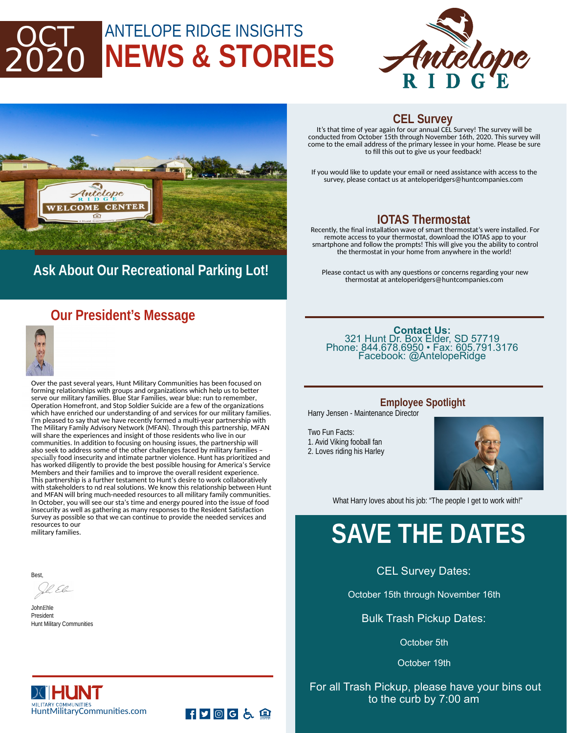## ANTELOPE RIDGE INSIGHTS **NEWS & STORIES** 2020





## **Ask About Our Recreational Parking Lot!**

### **Our President's Message**



Over the past several years, Hunt Military Communities has been focused on forming relationships with groups and organizations which help us to better serve our military families. Blue Star Families, wear blue: run to remember, Operation Homefront, and Stop Soldier Suicide are a few of the organizations which have enriched our understanding of and services for our military families. I'm pleased to say that we have recently formed a multi-year partnership with The Military Family Advisory Network (MFAN). Through this partnership, MFAN will share the experiences and insight of those residents who live in our communities. In addition to focusing on housing issues, the partnership will also seek to address some of the other challenges faced by military families – specially food insecurity and intimate partner violence. Hunt has prioritized and has worked diligently to provide the best possible housing for America's Service Members and their families and to improve the overall resident experience. This partnership is a further testament to Hunt's desire to work collaboratively with stakeholders to nd real solutions. We know this relationship between Hunt and MFAN will bring much-needed resources to all military family communities. In October, you will see our sta's time and energy poured into the issue of food insecurity as well as gathering as many responses to the Resident Satisfaction Survey as possible so that we can continue to provide the needed services and resources to our military families.

FF回G占鱼

Best,

VP. El

**JohnEhle** President Hunt Military Communities

#### **CEL Survey**

It's that time of year again for our annual CEL Survey! The survey will be conducted from October 15th through November 16th, 2020. This survey will come to the email address of the primary lessee in your home. Please be sure to fill this out to give us your feedback!

If you would like to update your email or need assistance with access to the survey, please contact us at anteloperidgers@huntcompanies.com

#### **IOTAS Thermostat**

Recently, the final installation wave of smart thermostat's were installed. For remote access to your thermostat, download the IOTAS app to your smartphone and follow the prompts! This will give you the ability to control the thermostat in your home from anywhere in the world!

Please contact us with any questions or concerns regarding your new thermostat at anteloperidgers@huntcompanies.com

#### **Contact Us:**  321 Hunt Dr. Box Elder, SD 57719 Phone: 844.678.6950 • Fax: 605.791.3176 Facebook: @AntelopeRidge

#### **Employee Spotlight**

Harry Jensen - Maintenance Director

Two Fun Facts: 1. Avid Viking fooball fan 2. Loves riding his Harley



What Harry loves about his job: "The people I get to work with!"

## **SAVE THE DATES**

CEL Survey Dates:

October 15th through November 16th

Bulk Trash Pickup Dates:

October 5th

October 19th

#### For all Trash Pickup, please have your bins out to the curb by 7:00 am